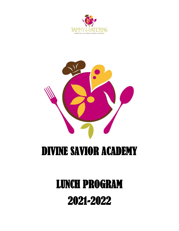



## DIVINE SAVIOR ACADEMY

# LUNCH PROGRAM 2021-2022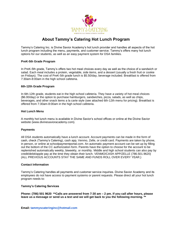

### **About Tammy's Catering Hot Lunch Program**

Tammy's Catering Inc. is Divine Savior Academy's hot lunch provider and handles all aspects of the hot lunch program including the menu, payments, and customer service. Tammy's offers many hot lunch options for our students, as well as an easy payment system for DSA families.

#### **PreK-5th Grade Program**

In PreK-5th grade, Tammy's offers two hot meal choices every day as well as the choice of a sandwich or salad. Each meal includes a protein, vegetable, side items, and a dessert (usually a fresh fruit or cookie on Fridays). The cost of PreK-5th grade lunch is \$5.50/day, beverage included. Breakfast is offered from 7:30am-8:00am in the high school cafeteria.

#### **6th-12th Grade Program**

In 6th-12th grade, students eat in the high school cafeteria. They have a variety of hot meal choices (\$6.00/day) or the option to purchase hamburgers, sandwiches, pizza, salads, as well as chips, beverages, and other snack items a la carte style (see attached 6th-12th menu for pricing). Breakfast is offered from 7:30am-8:00am in the high school cafeteria.

#### **Hot Lunch Menu**

A monthly hot lunch menu is available in Divine Savior's school offices or online at the Divine Savior website (www.divinesavioracademy.com).

#### **Payments**

All DSA students automatically have a lunch account. Account payments can be made in the form of cash, check (Tammy's Catering), cash app, Venmo, Zelle, or credit card. Payments are taken by phone, in person, or online at schoolpaymentportal.com. An automatic payment account can be set up by filling out the bottom of the CC authorization form. Parents have the option to choose for the account to be replenished automatically weekly, biweekly, or monthly. Middle and high school students can also pay by credit/debit/apple pay at the time they obtain their lunch. VENMO/CASH APP/ZELLE (786.501.9620) (ALL PREVIOUS ACCOUNTS STAY THE SAME AND FUNDS ROLL OVER EVERY YEAR.)

#### **Contact Information**

Tammy's Catering handles all payments and customer service inquiries. Divine Savior Academy and its employees do not have access to payment systems or parent requests. Please direct all your hot lunch program needs to:

#### **Tammy's Catering Services**

**Phone: (786) 501 9620 \*\*Calls are answered from 7:30 am – 2 pm. If you call after hours, please leave us a message or send us a text and we will get back to you the following morning. \*\***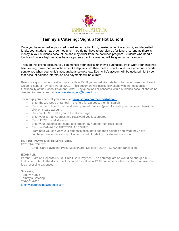

## **Tammy's Catering: Signup for Hot Lunch!**

Once you have turned in your credit card authorization form, created an online account, and deposited funds, your student may order hot lunch. You do not have to pre-sign up for lunch. As long as there is money in your student's account, he/she may order from the hot lunch program. Students who need a lunch and have a high negative balance/parents can't be reached will be given a ham sandwich.

Through this online account, you can monitor your child's lunchtime purchases, track what your child has been eating, make food restrictions, make deposits into their meal accounts, and have an email reminder sent to you when your child's account balance gets low. Each child's account will be updated nightly so that account balance information and payments will be current.

Below is a quick guide to setting up your User ID. If you would like detailed information, use the "Parent Guide to School Payment Portal 2021". This document will assist new users with the most basic functionality of the School Payment Portal. Any questions or concerns with a student's account should be directed to Liset Nunez at [tammyscateringinc@hotmail.com.](mailto:tammyscateringinc@hotmail.com)

#### **To set up your account you can visit [www.schoolpaymentportal.com](http://www.schoolpaymentportal.com/)**

- Enter the Zip Code of School in the field for zip code, then hit search
- Click on the School District and enter your information (you will create your password here) then click on create account.
- Click on HERE to take you to the Home Page
- Enter your E-mail Address and Password you just created
- Click HERE to add students
- Enter your students last name and student ID number then click search
- Click on MANAGE CAFETERIA ACCOUNT
- From here you can view your student's account to see their balance and what they have purchased since the first day of school or add funds to your student's account.

#### **ON-LINE PAYMENTS COMING SOON!**

*FEE STRUCTURE*

• Credit Card Payments (Visa, MasterCard, Discover) 2.3% + \$1.00 per transaction

#### **EXAMPLE**:

Parent/Guardian Deposits \$50.00 Credit Card Payment: The parent/guardian would be charged \$50.00 that is deposited to the district bank account as well as a \$2.15 convenience fee paid to us to cover the fee processing expenses.

Sincerely, Tammy Nunez Tammy's Catering 786-501-9620 [tammyscateringinc@hotmail.com](mailto:tammyscateringinc@hotmail.com)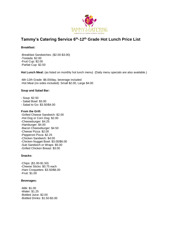

## **Tammy's Catering Service 6th-12th Grade Hot Lunch Price List**

**Breakfast:**

-Breakfast Sandwiches: (\$2.00-\$3.00) -Tostada: \$2.00 -Fruit Cup: \$2.00 -Parfait Cup: \$2.50

**Hot Lunch Meal:** (as listed on monthly hot lunch menu) (Daily menu specials are also available.)

-6th-12th Grade: \$6.00/day, beverage included -Hot Meal (no sides included): Small \$2.00, Large \$4.00

#### **Soup and Salad Bar:**

- Soup: \$2.50
- Salad Bowl: \$3.00
- Salad to Go: \$3.50/\$4.00

#### **From the Grill:**

-Grilled Cheese Sandwich: \$2.00 -Hot Dog or Corn Dog: \$2.00 -Cheeseburger: \$4.25 -Hamburger: \$4.00 -Bacon Cheeseburger: \$4.50 -Cheese Pizza: \$2.00 -Pepperoni Pizza: \$2.25 -Chicken Sandwich: \$4.00 -Chicken Nugget Bowl: \$3.00/\$6.00 -Sub Sandwich or Wraps: \$5.00 -Grilled Chicken Breast: \$3.00

#### **Snacks:**

-Chips: (\$1.00-\$1.50) -Cheese Sticks: \$0.75 each -Ham Croquettes: \$3.50/\$6.00 -Fruit: \$1.00

#### **Beverages:**

-Milk: \$1.00 -Water: \$1.25 -Bottled Juice: \$2.00 -Bottled Drinks: \$1.50-\$3.00